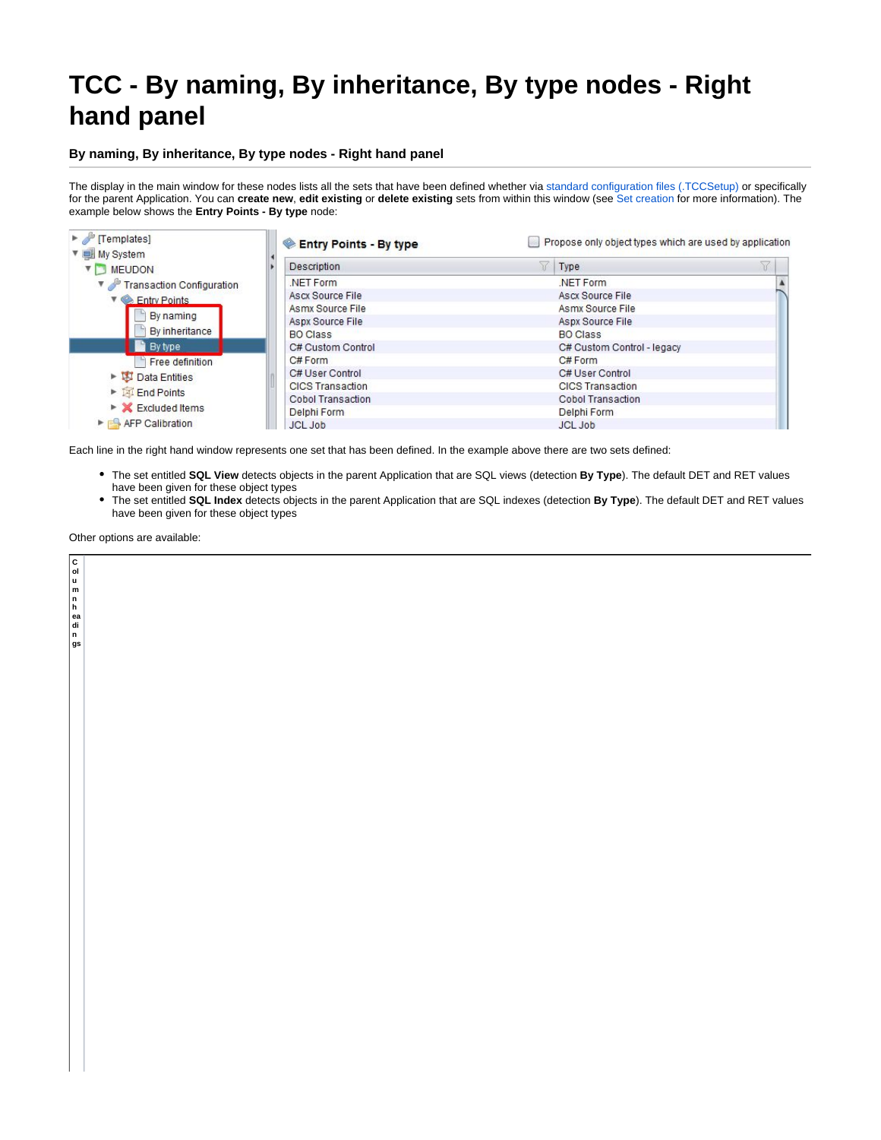## **TCC - By naming, By inheritance, By type nodes - Right hand panel**

## **By naming, By inheritance, By type nodes - Right hand panel**

The display in the main window for these nodes lists all the sets that have been defined whether via [standard configuration files \(.TCCSetup\)](https://doc.castsoftware.com/pages/viewpage.action?pageId=264224227) or specifically for the parent Application. You can **create new**, **edit existing** or **delete existing** sets from within this window (see [Set creation](https://doc.castsoftware.com/display/DOC83/TCC+-+Set+creation) for more information). The example below shows the **Entry Points - By type** node:

| F [Templates]<br>▼ IMy System                   | <b>Entry Points - By type</b> | Propose only object types which are used by application |                            |  |
|-------------------------------------------------|-------------------------------|---------------------------------------------------------|----------------------------|--|
| <b>V MEUDON</b>                                 | Description                   | ١Y                                                      | Type                       |  |
| Transaction Configuration                       | NET Form                      |                                                         | NET Form                   |  |
| $\blacktriangleright$ Entry Points              | Ascx Source File              |                                                         | Ascx Source File           |  |
|                                                 | Asmx Source File              |                                                         | <b>Asmx Source File</b>    |  |
| By naming                                       | <b>Aspx Source File</b>       |                                                         | Aspx Source File           |  |
| By inheritance                                  | <b>BO Class</b>               |                                                         | <b>BO Class</b>            |  |
| By type                                         | C# Custom Control             |                                                         | C# Custom Control - legacy |  |
| <b>Free definition</b>                          | C# Form                       |                                                         | C# Form                    |  |
| Data Entities                                   | C# User Control               |                                                         | C# User Control            |  |
|                                                 | <b>CICS Transaction</b>       |                                                         | <b>CICS Transaction</b>    |  |
| End Points                                      | Cobol Transaction             |                                                         | Cobol Transaction          |  |
| $\triangleright$ X Excluded Items               | Delphi Form                   |                                                         | Delphi Form                |  |
| $\triangleright$ $\blacksquare$ AFP Calibration | JCL Job                       |                                                         | <b>JCL Job</b>             |  |

Each line in the right hand window represents one set that has been defined. In the example above there are two sets defined:

- The set entitled **SQL View** detects objects in the parent Application that are SQL views (detection **By Type**). The default DET and RET values have been given for these object types
- The set entitled **SQL Index** detects objects in the parent Application that are SQL indexes (detection **By Type**). The default DET and RET values have been given for these object types

Other options are available:

**C ol u m n h ea di n gs**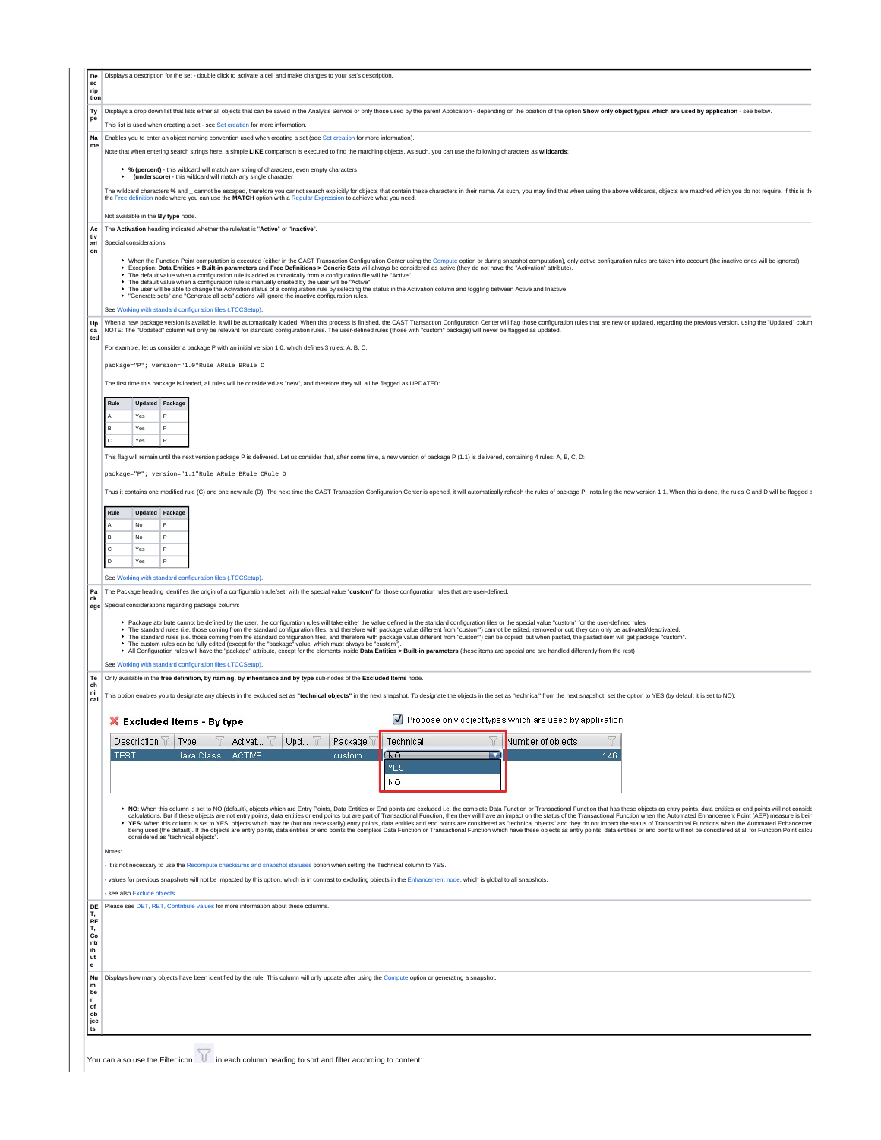| sc<br>rip                                                                           | Displays a description for the set - double click to activate a cell and make changes to your set's description.                                                                                                                                                                                                                                                                                                                                                                                                                                                                                                                                                                                                                                                                                                                                                                                                |                     |                                                         |  |  |  |  |
|-------------------------------------------------------------------------------------|-----------------------------------------------------------------------------------------------------------------------------------------------------------------------------------------------------------------------------------------------------------------------------------------------------------------------------------------------------------------------------------------------------------------------------------------------------------------------------------------------------------------------------------------------------------------------------------------------------------------------------------------------------------------------------------------------------------------------------------------------------------------------------------------------------------------------------------------------------------------------------------------------------------------|---------------------|---------------------------------------------------------|--|--|--|--|
| tion                                                                                |                                                                                                                                                                                                                                                                                                                                                                                                                                                                                                                                                                                                                                                                                                                                                                                                                                                                                                                 |                     |                                                         |  |  |  |  |
| Ty<br>pe                                                                            | Displays a drop down list that lists either all objects that can be saved in the Analysis Service or only those used by the parent Application - depending on the position of the option Show only object types which are used                                                                                                                                                                                                                                                                                                                                                                                                                                                                                                                                                                                                                                                                                  |                     |                                                         |  |  |  |  |
| Na                                                                                  | This list is used when creating a set - see Set creation for more information.<br>Enables you to enter an object naming convention used when creating a set (see Set creation for more information).                                                                                                                                                                                                                                                                                                                                                                                                                                                                                                                                                                                                                                                                                                            |                     |                                                         |  |  |  |  |
| me                                                                                  | Note that when entering search strings here, a simple LIKE comparison is executed to find the matching objects. As such, you can use the following characters as wildcards:                                                                                                                                                                                                                                                                                                                                                                                                                                                                                                                                                                                                                                                                                                                                     |                     |                                                         |  |  |  |  |
|                                                                                     |                                                                                                                                                                                                                                                                                                                                                                                                                                                                                                                                                                                                                                                                                                                                                                                                                                                                                                                 |                     |                                                         |  |  |  |  |
|                                                                                     | * % (percent) - this wildcard will match any string of characters, even empty characters<br>• _ (underscore) - this wildcard will match any single character                                                                                                                                                                                                                                                                                                                                                                                                                                                                                                                                                                                                                                                                                                                                                    |                     |                                                         |  |  |  |  |
|                                                                                     | The wildcard characters % and _ cannot be escaped, therefore you cannot search explicitly for objects that contain these characters in their name. As such, you may find that when using the above wildcards, objects are matc                                                                                                                                                                                                                                                                                                                                                                                                                                                                                                                                                                                                                                                                                  |                     |                                                         |  |  |  |  |
|                                                                                     | the Free definition node where you can use the MATCH option with a Regular Expression to achieve what you need.                                                                                                                                                                                                                                                                                                                                                                                                                                                                                                                                                                                                                                                                                                                                                                                                 |                     |                                                         |  |  |  |  |
|                                                                                     | Not available in the By type node.                                                                                                                                                                                                                                                                                                                                                                                                                                                                                                                                                                                                                                                                                                                                                                                                                                                                              |                     |                                                         |  |  |  |  |
| Ac<br>tiv                                                                           | The Activation heading indicated whether the rule/set is "Active" or "Inactive".                                                                                                                                                                                                                                                                                                                                                                                                                                                                                                                                                                                                                                                                                                                                                                                                                                |                     |                                                         |  |  |  |  |
| ati<br>on                                                                           | Special considerations:                                                                                                                                                                                                                                                                                                                                                                                                                                                                                                                                                                                                                                                                                                                                                                                                                                                                                         |                     |                                                         |  |  |  |  |
|                                                                                     | . When the Function Point computation is executed (either in the CAST Transaction Configuration Center using the Compute option or during snapshot computation), only active configuration rules are taken into account (the i<br>. Exception: Data Entities > Built-in parameters and Free Definitions > Generic Sets will always be considered as active (they do not have the "Activation" attribute).<br>* The default value when a configuration rule is added automatically from a configuration file will be "Active"<br>* The default value when a configuration rule is manually created by the user will be "Active"<br>. The user will be able to change the Activation status of a configuration rule by selecting the status in the Activation column and toggling between Active and Inactive.<br>. "Generate sets" and "Generate all sets" actions will ignore the inactive configuration rules. |                     |                                                         |  |  |  |  |
|                                                                                     | See Working with standard configuration files (.TCCSetup).                                                                                                                                                                                                                                                                                                                                                                                                                                                                                                                                                                                                                                                                                                                                                                                                                                                      |                     |                                                         |  |  |  |  |
| Up<br>da                                                                            | When a new package version is available, it will be automatically loaded. When this process is finished, the CAST Transaction Configuration Center will flag those configuration rules that are new or updated, regarding the<br>NOTE: The "Updated" column will only be relevant for standard configuration rules. The user-defined rules (those with "custom" package) will never be flagged as updated.                                                                                                                                                                                                                                                                                                                                                                                                                                                                                                      |                     |                                                         |  |  |  |  |
| ted                                                                                 |                                                                                                                                                                                                                                                                                                                                                                                                                                                                                                                                                                                                                                                                                                                                                                                                                                                                                                                 |                     |                                                         |  |  |  |  |
|                                                                                     | For example, let us consider a package P with an initial version 1.0, which defines 3 rules: A, B, C.                                                                                                                                                                                                                                                                                                                                                                                                                                                                                                                                                                                                                                                                                                                                                                                                           |                     |                                                         |  |  |  |  |
|                                                                                     | package="P"; version="1.0"Rule ARule BRule C                                                                                                                                                                                                                                                                                                                                                                                                                                                                                                                                                                                                                                                                                                                                                                                                                                                                    |                     |                                                         |  |  |  |  |
|                                                                                     | The first time this package is loaded, all rules will be considered as "new", and therefore they will all be flagged as UPDATED:                                                                                                                                                                                                                                                                                                                                                                                                                                                                                                                                                                                                                                                                                                                                                                                |                     |                                                         |  |  |  |  |
|                                                                                     |                                                                                                                                                                                                                                                                                                                                                                                                                                                                                                                                                                                                                                                                                                                                                                                                                                                                                                                 |                     |                                                         |  |  |  |  |
|                                                                                     | Rule<br>Updated Package<br>Yes<br>P                                                                                                                                                                                                                                                                                                                                                                                                                                                                                                                                                                                                                                                                                                                                                                                                                                                                             |                     |                                                         |  |  |  |  |
|                                                                                     | P<br>в<br>Yes                                                                                                                                                                                                                                                                                                                                                                                                                                                                                                                                                                                                                                                                                                                                                                                                                                                                                                   |                     |                                                         |  |  |  |  |
|                                                                                     | P<br>Yes                                                                                                                                                                                                                                                                                                                                                                                                                                                                                                                                                                                                                                                                                                                                                                                                                                                                                                        |                     |                                                         |  |  |  |  |
|                                                                                     | This flag will remain until the next version package P is delivered. Let us consider that, after some time, a new version of package P (1.1) is delivered, containing 4 rules: A, B, C, D:                                                                                                                                                                                                                                                                                                                                                                                                                                                                                                                                                                                                                                                                                                                      |                     |                                                         |  |  |  |  |
|                                                                                     | package="P"; version="1.1"Rule ARule BRule CRule D                                                                                                                                                                                                                                                                                                                                                                                                                                                                                                                                                                                                                                                                                                                                                                                                                                                              |                     |                                                         |  |  |  |  |
|                                                                                     |                                                                                                                                                                                                                                                                                                                                                                                                                                                                                                                                                                                                                                                                                                                                                                                                                                                                                                                 |                     |                                                         |  |  |  |  |
|                                                                                     | Thus it contains one modified rule (C) and one new rule (D). The next time the CAST Transaction Configuration Center is opened, it will automatically refresh the rules of package P, installing the new version 1.1. When thi                                                                                                                                                                                                                                                                                                                                                                                                                                                                                                                                                                                                                                                                                  |                     |                                                         |  |  |  |  |
|                                                                                     | Rule<br>Updated Package                                                                                                                                                                                                                                                                                                                                                                                                                                                                                                                                                                                                                                                                                                                                                                                                                                                                                         |                     |                                                         |  |  |  |  |
|                                                                                     | P<br><b>No</b>                                                                                                                                                                                                                                                                                                                                                                                                                                                                                                                                                                                                                                                                                                                                                                                                                                                                                                  |                     |                                                         |  |  |  |  |
|                                                                                     | B<br>P<br>No                                                                                                                                                                                                                                                                                                                                                                                                                                                                                                                                                                                                                                                                                                                                                                                                                                                                                                    |                     |                                                         |  |  |  |  |
|                                                                                     |                                                                                                                                                                                                                                                                                                                                                                                                                                                                                                                                                                                                                                                                                                                                                                                                                                                                                                                 |                     |                                                         |  |  |  |  |
|                                                                                     | $\mathbf c$<br>P<br>Yes                                                                                                                                                                                                                                                                                                                                                                                                                                                                                                                                                                                                                                                                                                                                                                                                                                                                                         |                     |                                                         |  |  |  |  |
|                                                                                     | P<br>D<br>Yes                                                                                                                                                                                                                                                                                                                                                                                                                                                                                                                                                                                                                                                                                                                                                                                                                                                                                                   |                     |                                                         |  |  |  |  |
|                                                                                     | See Working with standard configuration files (.TCCSetup).                                                                                                                                                                                                                                                                                                                                                                                                                                                                                                                                                                                                                                                                                                                                                                                                                                                      |                     |                                                         |  |  |  |  |
|                                                                                     | The Package heading identifies the origin of a configuration rule/set, with the special value "custom" for those configuration rules that are user-defined.                                                                                                                                                                                                                                                                                                                                                                                                                                                                                                                                                                                                                                                                                                                                                     |                     |                                                         |  |  |  |  |
| Pa<br>ck<br>age                                                                     | Special considerations regarding package column:                                                                                                                                                                                                                                                                                                                                                                                                                                                                                                                                                                                                                                                                                                                                                                                                                                                                |                     |                                                         |  |  |  |  |
|                                                                                     | • Package attribute cannot be defined by the user, the configuration rules will take either the value defined in the standard configuration files or the special value "custom" for the user-defined rules                                                                                                                                                                                                                                                                                                                                                                                                                                                                                                                                                                                                                                                                                                      |                     |                                                         |  |  |  |  |
|                                                                                     | . The standard rules (i.e. those coming from the standard configuration files, and therefore with package value different from "custom") cannot be edited, removed or cut; they can only be activated/deactivated.<br>." The standard rules (i.e. those coming from the standard configuration files, and therefore with package value different from "custom") can be copied; but when pasted, the pasted item will get package "custom".                                                                                                                                                                                                                                                                                                                                                                                                                                                                      |                     |                                                         |  |  |  |  |
|                                                                                     | . The custom rules can be fully edited (except for the "package" value, which must always be "custom").<br>. All Configuration rules will have the "package" attribute, except for the elements inside Data Entities > Built-in parameters (these items are special and are handled differently from the rest)                                                                                                                                                                                                                                                                                                                                                                                                                                                                                                                                                                                                  |                     |                                                         |  |  |  |  |
|                                                                                     | See Working with standard configuration files (.TCCSetup).                                                                                                                                                                                                                                                                                                                                                                                                                                                                                                                                                                                                                                                                                                                                                                                                                                                      |                     |                                                         |  |  |  |  |
|                                                                                     | Only available in the free definition, by naming, by inheritance and by type sub-nodes of the Excluded Items node.                                                                                                                                                                                                                                                                                                                                                                                                                                                                                                                                                                                                                                                                                                                                                                                              |                     |                                                         |  |  |  |  |
|                                                                                     | This option enables you to designate any objects in the excluded set as "technical objects" in the next snapshot. To designate the objects in the set as "technical" from the next snapshot, set the option to YES (by default                                                                                                                                                                                                                                                                                                                                                                                                                                                                                                                                                                                                                                                                                  |                     |                                                         |  |  |  |  |
|                                                                                     |                                                                                                                                                                                                                                                                                                                                                                                                                                                                                                                                                                                                                                                                                                                                                                                                                                                                                                                 |                     |                                                         |  |  |  |  |
|                                                                                     | X Excluded Items - By type                                                                                                                                                                                                                                                                                                                                                                                                                                                                                                                                                                                                                                                                                                                                                                                                                                                                                      |                     | Propose only object types which are used by application |  |  |  |  |
|                                                                                     |                                                                                                                                                                                                                                                                                                                                                                                                                                                                                                                                                                                                                                                                                                                                                                                                                                                                                                                 |                     |                                                         |  |  |  |  |
|                                                                                     | Upd $\forall$<br>Description $\forall$<br>Type<br>Activat V<br>Package<br>V                                                                                                                                                                                                                                                                                                                                                                                                                                                                                                                                                                                                                                                                                                                                                                                                                                     | Y<br>Technical<br>▼ | Y<br>Number of objects                                  |  |  |  |  |
|                                                                                     | (NO<br><b>TEST</b><br>Java Class<br>ACTIVE<br>custom                                                                                                                                                                                                                                                                                                                                                                                                                                                                                                                                                                                                                                                                                                                                                                                                                                                            | <b>YES</b>          | 146                                                     |  |  |  |  |
|                                                                                     | NO.                                                                                                                                                                                                                                                                                                                                                                                                                                                                                                                                                                                                                                                                                                                                                                                                                                                                                                             |                     |                                                         |  |  |  |  |
|                                                                                     |                                                                                                                                                                                                                                                                                                                                                                                                                                                                                                                                                                                                                                                                                                                                                                                                                                                                                                                 |                     |                                                         |  |  |  |  |
|                                                                                     | . NO: When this column is set to NO (default), objects which are Entry Points, Data Entities or End points are excluded i.e. the complete Data Function or Transactional Function that has these objects as entry points, data                                                                                                                                                                                                                                                                                                                                                                                                                                                                                                                                                                                                                                                                                  |                     |                                                         |  |  |  |  |
|                                                                                     | calculations. But if these objects are not entry points, data entities or end points but are part of Transactional Function, then they will have an impact on the status of the Transactional Function when the Automated Enha<br>. YES: When this column is set to YES, objects which may be (but not necessarily) entry points, data entities and end points are considered as "technical objects" and they do not impact the status of Transactional Function                                                                                                                                                                                                                                                                                                                                                                                                                                                |                     |                                                         |  |  |  |  |
|                                                                                     | being used (the default). If the objects are entry points, data entities or end points the complete Data Function or Transactional Function which have these objects as entry points, data entities or end points will not be<br>considered as "technical objects".                                                                                                                                                                                                                                                                                                                                                                                                                                                                                                                                                                                                                                             |                     |                                                         |  |  |  |  |
|                                                                                     | Notes:                                                                                                                                                                                                                                                                                                                                                                                                                                                                                                                                                                                                                                                                                                                                                                                                                                                                                                          |                     |                                                         |  |  |  |  |
|                                                                                     | it is not necessary to use the Recompute checksums and snapshot statuses option when setting the Technical column to YES.                                                                                                                                                                                                                                                                                                                                                                                                                                                                                                                                                                                                                                                                                                                                                                                       |                     |                                                         |  |  |  |  |
|                                                                                     | values for previous snapshots will not be impacted by this option, which is in contrast to excluding objects in the Enhancement node, which is global to all snapshots.                                                                                                                                                                                                                                                                                                                                                                                                                                                                                                                                                                                                                                                                                                                                         |                     |                                                         |  |  |  |  |
|                                                                                     | see also Exclude objects.                                                                                                                                                                                                                                                                                                                                                                                                                                                                                                                                                                                                                                                                                                                                                                                                                                                                                       |                     |                                                         |  |  |  |  |
|                                                                                     | Please see DET, RET, Contribute values for more information about these columns.                                                                                                                                                                                                                                                                                                                                                                                                                                                                                                                                                                                                                                                                                                                                                                                                                                |                     |                                                         |  |  |  |  |
|                                                                                     |                                                                                                                                                                                                                                                                                                                                                                                                                                                                                                                                                                                                                                                                                                                                                                                                                                                                                                                 |                     |                                                         |  |  |  |  |
|                                                                                     |                                                                                                                                                                                                                                                                                                                                                                                                                                                                                                                                                                                                                                                                                                                                                                                                                                                                                                                 |                     |                                                         |  |  |  |  |
|                                                                                     |                                                                                                                                                                                                                                                                                                                                                                                                                                                                                                                                                                                                                                                                                                                                                                                                                                                                                                                 |                     |                                                         |  |  |  |  |
|                                                                                     |                                                                                                                                                                                                                                                                                                                                                                                                                                                                                                                                                                                                                                                                                                                                                                                                                                                                                                                 |                     |                                                         |  |  |  |  |
| Te<br>  ch<br>ni<br>cal<br>DE<br>Т,<br>RE<br>T,<br>co<br>ntr<br>ib<br>ut<br>e<br>Nu | Displays how many objects have been identified by the rule. This column will only update after using the Compute option or generating a snapshot.                                                                                                                                                                                                                                                                                                                                                                                                                                                                                                                                                                                                                                                                                                                                                               |                     |                                                         |  |  |  |  |
| m                                                                                   |                                                                                                                                                                                                                                                                                                                                                                                                                                                                                                                                                                                                                                                                                                                                                                                                                                                                                                                 |                     |                                                         |  |  |  |  |
| be<br>$\mathbf{r}$<br>of                                                            |                                                                                                                                                                                                                                                                                                                                                                                                                                                                                                                                                                                                                                                                                                                                                                                                                                                                                                                 |                     |                                                         |  |  |  |  |
| ob                                                                                  |                                                                                                                                                                                                                                                                                                                                                                                                                                                                                                                                                                                                                                                                                                                                                                                                                                                                                                                 |                     |                                                         |  |  |  |  |
| jec<br>ts                                                                           |                                                                                                                                                                                                                                                                                                                                                                                                                                                                                                                                                                                                                                                                                                                                                                                                                                                                                                                 |                     |                                                         |  |  |  |  |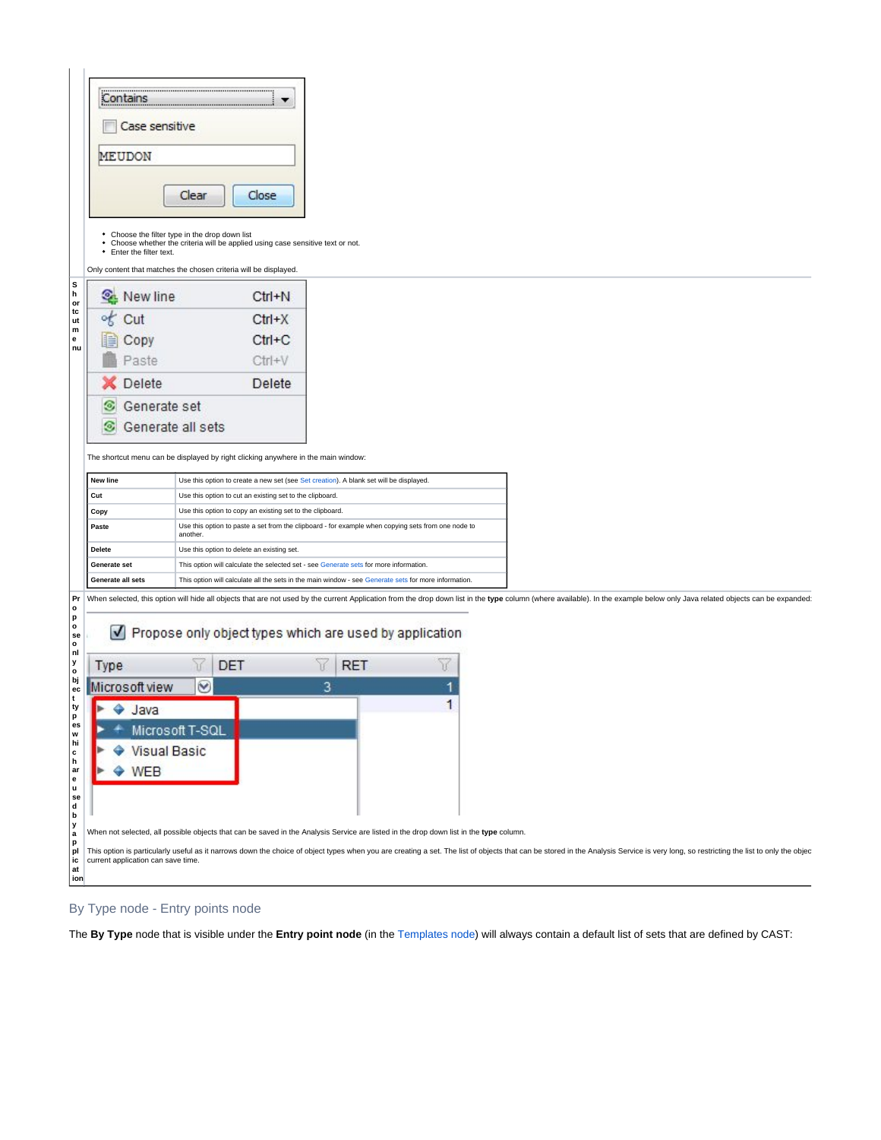| Contains                           |                                                                                                                                   |                                                                                                                                                                                                                                |
|------------------------------------|-----------------------------------------------------------------------------------------------------------------------------------|--------------------------------------------------------------------------------------------------------------------------------------------------------------------------------------------------------------------------------|
|                                    |                                                                                                                                   |                                                                                                                                                                                                                                |
| Case sensitive                     |                                                                                                                                   |                                                                                                                                                                                                                                |
| MEUDON                             |                                                                                                                                   |                                                                                                                                                                                                                                |
|                                    |                                                                                                                                   |                                                                                                                                                                                                                                |
|                                    |                                                                                                                                   |                                                                                                                                                                                                                                |
|                                    | Clear<br>Close                                                                                                                    |                                                                                                                                                                                                                                |
|                                    |                                                                                                                                   |                                                                                                                                                                                                                                |
|                                    | • Choose the filter type in the drop down list<br>• Choose whether the criteria will be applied using case sensitive text or not. |                                                                                                                                                                                                                                |
| • Enter the filter text.           |                                                                                                                                   |                                                                                                                                                                                                                                |
|                                    | Only content that matches the chosen criteria will be displayed.                                                                  |                                                                                                                                                                                                                                |
| <b>Q</b> : New line                | $Ctrl + N$                                                                                                                        |                                                                                                                                                                                                                                |
| of<br>Cut                          | $Ctrl+X$                                                                                                                          |                                                                                                                                                                                                                                |
| 睊<br>Copy                          | $Ctrl + C$                                                                                                                        |                                                                                                                                                                                                                                |
| Paste                              | $CtrI+V$                                                                                                                          |                                                                                                                                                                                                                                |
|                                    |                                                                                                                                   |                                                                                                                                                                                                                                |
| Delete                             | Delete                                                                                                                            |                                                                                                                                                                                                                                |
| Generate set<br>⊙                  |                                                                                                                                   |                                                                                                                                                                                                                                |
| ⊛                                  | Generate all sets                                                                                                                 |                                                                                                                                                                                                                                |
|                                    |                                                                                                                                   |                                                                                                                                                                                                                                |
|                                    | The shortcut menu can be displayed by right clicking anywhere in the main window:                                                 |                                                                                                                                                                                                                                |
| New line                           | Use this option to create a new set (see Set creation). A blank set will be displayed.                                            |                                                                                                                                                                                                                                |
| Cut                                | Use this option to cut an existing set to the clipboard.                                                                          |                                                                                                                                                                                                                                |
| Copy                               | Use this option to copy an existing set to the clipboard.                                                                         |                                                                                                                                                                                                                                |
| Paste                              | another.                                                                                                                          | Use this option to paste a set from the clipboard - for example when copying sets from one node to                                                                                                                             |
| Delete                             | Use this option to delete an existing set.                                                                                        |                                                                                                                                                                                                                                |
| Generate set                       | This option will calculate the selected set - see Generate sets for more information.                                             |                                                                                                                                                                                                                                |
| Generate all sets                  |                                                                                                                                   | This option will calculate all the sets in the main window - see Generate sets for more information.                                                                                                                           |
|                                    |                                                                                                                                   | Pr   When selected, this option will hide all objects that are not used by the current Application from the drop down list in the type column (where available). In the example below only Java related objects can be expande |
| V                                  |                                                                                                                                   |                                                                                                                                                                                                                                |
|                                    |                                                                                                                                   | Propose only object types which are used by application                                                                                                                                                                        |
|                                    |                                                                                                                                   | W<br><b>RET</b><br>W                                                                                                                                                                                                           |
|                                    | W<br>DET                                                                                                                          |                                                                                                                                                                                                                                |
| Type                               |                                                                                                                                   |                                                                                                                                                                                                                                |
| Microsoft view                     | $\heartsuit$                                                                                                                      | 3                                                                                                                                                                                                                              |
| ь<br>$\triangleleft$ Java          |                                                                                                                                   | 1                                                                                                                                                                                                                              |
|                                    | Microsoft T-SQL                                                                                                                   |                                                                                                                                                                                                                                |
|                                    | <b>Visual Basic</b>                                                                                                               |                                                                                                                                                                                                                                |
| <b>WEB</b>                         |                                                                                                                                   |                                                                                                                                                                                                                                |
|                                    |                                                                                                                                   |                                                                                                                                                                                                                                |
|                                    |                                                                                                                                   |                                                                                                                                                                                                                                |
|                                    |                                                                                                                                   |                                                                                                                                                                                                                                |
|                                    |                                                                                                                                   | When not selected, all possible objects that can be saved in the Analysis Service are listed in the drop down list in the type column.                                                                                         |
| current application can save time. |                                                                                                                                   | This option is particularly useful as it narrows down the choice of object types when you are creating a set. The list of objects that can be stored in the Analysis Service is very long, so restricting the list to only the |

## By Type node - Entry points node

The **By Type** node that is visible under the **Entry point node** (in the [Templates node](https://doc.castsoftware.com/display/DOC83/TCC+-+Templates+node)) will always contain a default list of sets that are defined by CAST: